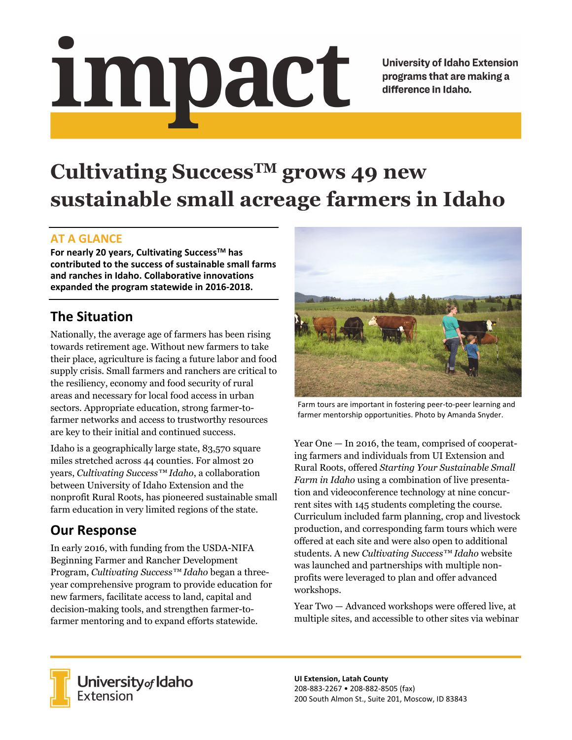# impact

**University of Idaho Extension** programs that are making a difference in Idaho.

# **Cultivating SuccessTM grows 49 new sustainable small acreage farmers in Idaho**

#### **AT A GLANCE**

**For nearly 20 years, Cultivating SuccessTM has contributed to the success of sustainable small farms and ranches in Idaho. Collaborative innovations expanded the program statewide in 2016‐2018.**

# **The Situation**

Nationally, the average age of farmers has been rising towards retirement age. Without new farmers to take their place, agriculture is facing a future labor and food supply crisis. Small farmers and ranchers are critical to the resiliency, economy and food security of rural areas and necessary for local food access in urban sectors. Appropriate education, strong farmer-tofarmer networks and access to trustworthy resources are key to their initial and continued success.

Idaho is a geographically large state, 83,570 square miles stretched across 44 counties. For almost 20 years, *Cultivating Success™ Idaho*, a collaboration between University of Idaho Extension and the nonprofit Rural Roots, has pioneered sustainable small farm education in very limited regions of the state.

## **Our Response**

In early 2016, with funding from the USDA-NIFA Beginning Farmer and Rancher Development Program, *Cultivating Success™ Idaho* began a threeyear comprehensive program to provide education for new farmers, facilitate access to land, capital and decision-making tools, and strengthen farmer-tofarmer mentoring and to expand efforts statewide.



Farm tours are important in fostering peer‐to‐peer learning and farmer mentorship opportunities. Photo by Amanda Snyder.

Year One — In 2016, the team, comprised of cooperating farmers and individuals from UI Extension and Rural Roots, offered *Starting Your Sustainable Small Farm in Idaho* using a combination of live presentation and videoconference technology at nine concurrent sites with 145 students completing the course. Curriculum included farm planning, crop and livestock production, and corresponding farm tours which were offered at each site and were also open to additional students. A new *Cultivating Success™ Idaho* website was launched and partnerships with multiple nonprofits were leveraged to plan and offer advanced workshops.

Year Two — Advanced workshops were offered live, at multiple sites, and accessible to other sites via webinar



University of Idaho<br>Extension

**UI Extension, Latah County** 208‐883‐2267 • 208‐882‐8505 (fax) 200 South Almon St., Suite 201, Moscow, ID 83843